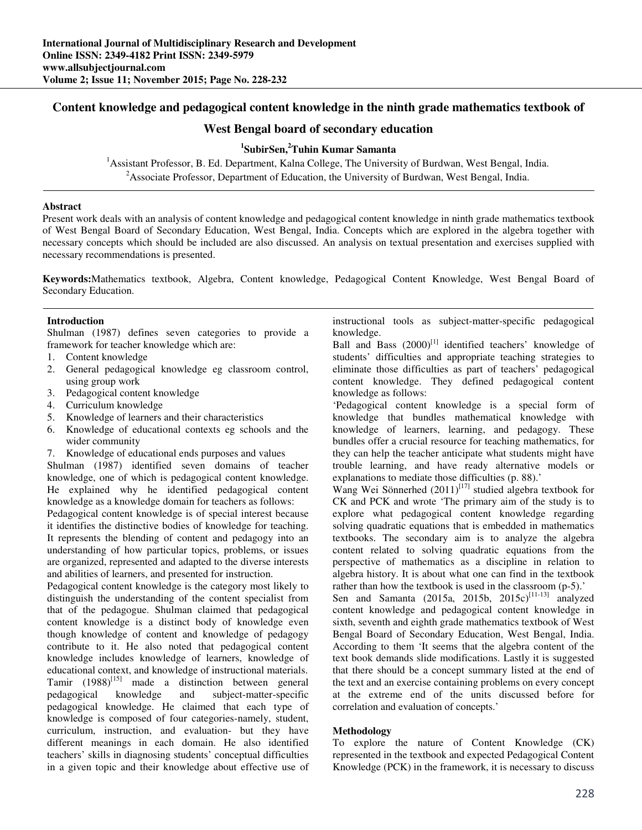# **Content knowledge and pedagogical content knowledge in the ninth grade mathematics textbook of**

# **West Bengal board of secondary education**

# **1 SubirSen,<sup>2</sup>Tuhin Kumar Samanta**

<sup>1</sup>Assistant Professor, B. Ed. Department, Kalna College, The University of Burdwan, West Bengal, India. <sup>2</sup>Associate Professor, Department of Education, the University of Burdwan, West Bengal, India.

## **Abstract**

Present work deals with an analysis of content knowledge and pedagogical content knowledge in ninth grade mathematics textbook of West Bengal Board of Secondary Education, West Bengal, India. Concepts which are explored in the algebra together with necessary concepts which should be included are also discussed. An analysis on textual presentation and exercises supplied with necessary recommendations is presented.

**Keywords:**Mathematics textbook, Algebra, Content knowledge, Pedagogical Content Knowledge, West Bengal Board of Secondary Education.

#### **Introduction**

Shulman (1987) defines seven categories to provide a framework for teacher knowledge which are:

- 1. Content knowledge
- 2. General pedagogical knowledge eg classroom control, using group work
- 3. Pedagogical content knowledge
- 4. Curriculum knowledge
- 5. Knowledge of learners and their characteristics
- 6. Knowledge of educational contexts eg schools and the wider community
- 7. Knowledge of educational ends purposes and values

Shulman (1987) identified seven domains of teacher knowledge, one of which is pedagogical content knowledge. He explained why he identified pedagogical content knowledge as a knowledge domain for teachers as follows:

Pedagogical content knowledge is of special interest because it identifies the distinctive bodies of knowledge for teaching. It represents the blending of content and pedagogy into an understanding of how particular topics, problems, or issues are organized, represented and adapted to the diverse interests and abilities of learners, and presented for instruction.

Pedagogical content knowledge is the category most likely to distinguish the understanding of the content specialist from that of the pedagogue. Shulman claimed that pedagogical content knowledge is a distinct body of knowledge even though knowledge of content and knowledge of pedagogy contribute to it. He also noted that pedagogical content knowledge includes knowledge of learners, knowledge of educational context, and knowledge of instructional materials. Tamir  $(1988)^{[15]}$  made a distinction between general pedagogical knowledge and subject-matter-specific pedagogical knowledge and subject-matter-specific pedagogical knowledge. He claimed that each type of knowledge is composed of four categories-namely, student, curriculum, instruction, and evaluation- but they have different meanings in each domain. He also identified teachers' skills in diagnosing students' conceptual difficulties in a given topic and their knowledge about effective use of

instructional tools as subject-matter-specific pedagogical knowledge.

Ball and Bass  $(2000)^{[1]}$  identified teachers' knowledge of students' difficulties and appropriate teaching strategies to eliminate those difficulties as part of teachers' pedagogical content knowledge. They defined pedagogical content knowledge as follows:

'Pedagogical content knowledge is a special form of knowledge that bundles mathematical knowledge with knowledge of learners, learning, and pedagogy. These bundles offer a crucial resource for teaching mathematics, for they can help the teacher anticipate what students might have trouble learning, and have ready alternative models or explanations to mediate those difficulties (p. 88).'

Wang Wei Sönnerhed  $(2011)^{[17]}$  studied algebra textbook for CK and PCK and wrote 'The primary aim of the study is to explore what pedagogical content knowledge regarding solving quadratic equations that is embedded in mathematics textbooks. The secondary aim is to analyze the algebra content related to solving quadratic equations from the perspective of mathematics as a discipline in relation to algebra history. It is about what one can find in the textbook rather than how the textbook is used in the classroom (p-5).'

Sen and Samanta (2015a, 2015b, 2015c)<sup>[11-13]</sup> analyzed content knowledge and pedagogical content knowledge in sixth, seventh and eighth grade mathematics textbook of West Bengal Board of Secondary Education, West Bengal, India. According to them 'It seems that the algebra content of the text book demands slide modifications. Lastly it is suggested that there should be a concept summary listed at the end of the text and an exercise containing problems on every concept at the extreme end of the units discussed before for correlation and evaluation of concepts.'

## **Methodology**

To explore the nature of Content Knowledge (CK) represented in the textbook and expected Pedagogical Content Knowledge (PCK) in the framework, it is necessary to discuss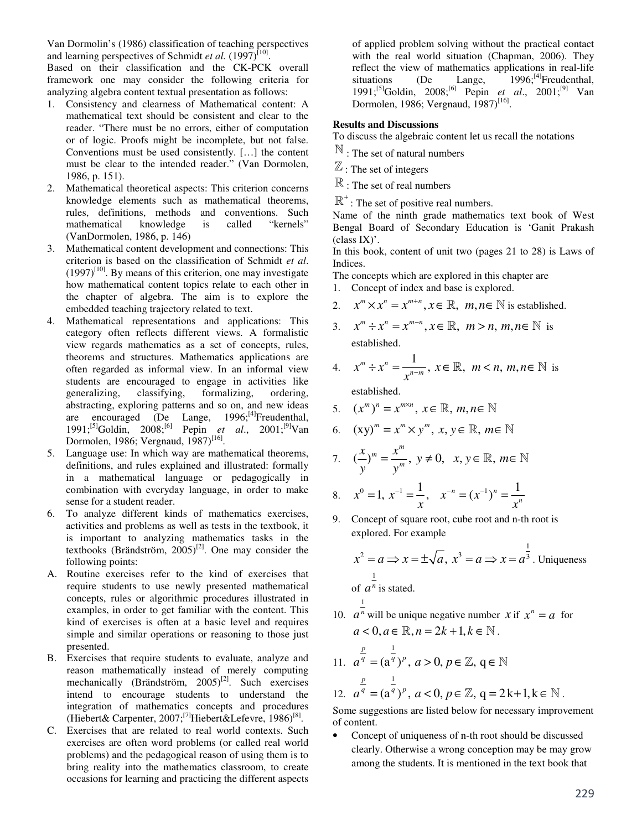Van Dormolin's (1986) classification of teaching perspectives and learning perspectives of Schmidt *et al.*  $(1997)^{[10]}$ .

Based on their classification and the CK-PCK overall framework one may consider the following criteria for analyzing algebra content textual presentation as follows:

- 1. Consistency and clearness of Mathematical content: A mathematical text should be consistent and clear to the reader. "There must be no errors, either of computation or of logic. Proofs might be incomplete, but not false. Conventions must be used consistently. […] the content must be clear to the intended reader." (Van Dormolen, 1986, p. 151).
- 2. Mathematical theoretical aspects: This criterion concerns knowledge elements such as mathematical theorems, rules, definitions, methods and conventions. Such mathematical knowledge is called "kernels" (VanDormolen, 1986, p. 146)
- 3. Mathematical content development and connections: This criterion is based on the classification of Schmidt *et al*.  $(1997)^{[10]}$ . By means of this criterion, one may investigate how mathematical content topics relate to each other in the chapter of algebra. The aim is to explore the embedded teaching trajectory related to text.
- 4. Mathematical representations and applications: This category often reflects different views. A formalistic view regards mathematics as a set of concepts, rules, theorems and structures. Mathematics applications are often regarded as informal view. In an informal view students are encouraged to engage in activities like generalizing, classifying, formalizing, ordering, abstracting, exploring patterns and so on, and new ideas are encouraged (De Lange, 1996;<sup>[4]</sup>Freudenthal, 1991;<sup>[5]</sup>Goldin, 2008;<sup>[6]</sup> Pepin *et al.*, 2001;<sup>[9]</sup>Van Dormolen, 1986; Vergnaud,  $1987$ <sup>[16]</sup>.
- 5. Language use: In which way are mathematical theorems, definitions, and rules explained and illustrated: formally in a mathematical language or pedagogically in combination with everyday language, in order to make sense for a student reader.
- 6. To analyze different kinds of mathematics exercises, activities and problems as well as tests in the textbook, it is important to analyzing mathematics tasks in the textbooks (Brändström,  $2005$ <sup>[2]</sup>. One may consider the following points:
- A. Routine exercises refer to the kind of exercises that require students to use newly presented mathematical concepts, rules or algorithmic procedures illustrated in examples, in order to get familiar with the content. This kind of exercises is often at a basic level and requires simple and similar operations or reasoning to those just presented.
- B. Exercises that require students to evaluate, analyze and reason mathematically instead of merely computing mechanically (Brändström,  $2005$ <sup>[2]</sup>. Such exercises intend to encourage students to understand the integration of mathematics concepts and procedures (Hiebert& Carpenter, 2007;<sup>[7]</sup>Hiebert&Lefevre, 1986)<sup>[8]</sup>.
- C. Exercises that are related to real world contexts. Such exercises are often word problems (or called real world problems) and the pedagogical reason of using them is to bring reality into the mathematics classroom, to create occasions for learning and practicing the different aspects

of applied problem solving without the practical contact with the real world situation (Chapman, 2006). They reflect the view of mathematics applications in real-life situations (De Lange, 1996;<sup>[4]</sup>Freudenthal, 1991;[5]Goldin, 2008;[6] Pepin *et al*., 2001;[9] Van Dormolen, 1986; Vergnaud,  $1987$ <sup>[16]</sup>.

#### **Results and Discussions**

To discuss the algebraic content let us recall the notations

- $\mathbb{N}$  : The set of natural numbers
- $\mathbb{Z}$ : The set of integers
- $\mathbb{R}$  : The set of real numbers
- $\mathbb{R}^+$ : The set of positive real numbers.

Name of the ninth grade mathematics text book of West Bengal Board of Secondary Education is 'Ganit Prakash (class IX)'.

In this book, content of unit two (pages 21 to 28) is Laws of Indices.

- The concepts which are explored in this chapter are
- 1. Concept of index and base is explored.
- 2.  $x^m \times x^n = x^{m+n}, x \in \mathbb{R}, m, n \in \mathbb{N}$  is established.
- 3.  $x^m \div x^n = x^{m-n}, x \in \mathbb{R}, m > n, m, n \in \mathbb{N}$  is established.

4. 
$$
x^m \div x^n = \frac{1}{x^{n-m}}
$$
,  $x \in \mathbb{R}$ ,  $m < n$ ,  $m, n \in \mathbb{N}$  is

established.

1

5. 
$$
(x^m)^n = x^{m \times n}, x \in \mathbb{R}, m, n \in \mathbb{N}
$$

6. 
$$
(xy)^m = x^m \times y^m, x, y \in \mathbb{R}, m \in \mathbb{N}
$$

7. 
$$
(\frac{x}{y})^m = \frac{x^m}{y^m}, y \neq 0, x, y \in \mathbb{R}, m \in \mathbb{N}
$$

8. 
$$
x^0 = 1
$$
,  $x^{-1} = \frac{1}{x}$ ,  $x^{-n} = (x^{-1})^n = \frac{1}{x^n}$ 

9. Concept of square root, cube root and n-th root is explored. For example

$$
x^2 = a \implies x = \pm \sqrt{a}
$$
,  $x^3 = a \implies x = a^{\frac{1}{3}}$ . Uniqueness  
of  $a^{\frac{1}{n}}$  is stated.

10.  $a^n$  will be unique negative number *x* if  $x^n = a$  for  $a < 0, a \in \mathbb{R}, n = 2k + 1, k \in \mathbb{N}$ .

11. 
$$
a^{\frac{p}{q}} = (a^{\frac{1}{q}})^p
$$
,  $a > 0$ ,  $p \in \mathbb{Z}$ ,  $q \in \mathbb{N}$   
\n12.  $a^{\frac{p}{q}} = (a^{\frac{1}{q}})^p$ ,  $a < 0$ ,  $p \in \mathbb{Z}$ ,  $q = 2k+1, k \in \mathbb{N}$ .

Some suggestions are listed below for necessary improvement of content.

• Concept of uniqueness of n-th root should be discussed clearly. Otherwise a wrong conception may be may grow among the students. It is mentioned in the text book that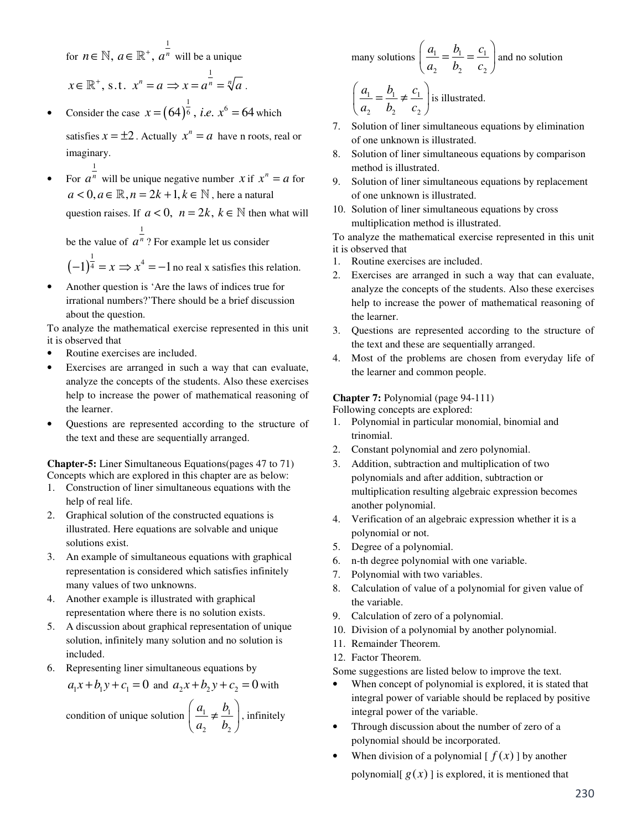for 1  $n \in \mathbb{N}, a \in \mathbb{R}^+, a^{\overline{n}}$  will be a unique

$$
x \in \mathbb{R}^+
$$
, s.t.  $x^n = a \Rightarrow x = a^{\frac{1}{n}} = \sqrt[n]{a}$ .

• Consider the case  $x = (64)^{\frac{1}{6}}$ , *i.e.*  $x^6 = 64$  which

satisfies  $x = \pm 2$ . Actually  $x^n = a$  have n roots, real or imaginary.

• For *a*<sup>*n*</sup> will be unique negative number *x* if  $x^n = a$  for  $a < 0, a \in \mathbb{R}, n = 2k + 1, k \in \mathbb{N}$ , here a natural

question raises. If  $a < 0$ ,  $n = 2k$ ,  $k \in \mathbb{N}$  then what will 1

be the value of  $a^n$ ? For example let us consider

$$
(-1)^{\frac{1}{4}} = x \implies x^4 = -1
$$
 no real x satisfies this relation.

• Another question is 'Are the laws of indices true for irrational numbers?'There should be a brief discussion about the question.

To analyze the mathematical exercise represented in this unit it is observed that

• Routine exercises are included.

1

1

- Exercises are arranged in such a way that can evaluate, analyze the concepts of the students. Also these exercises help to increase the power of mathematical reasoning of the learner.
- Questions are represented according to the structure of the text and these are sequentially arranged.

**Chapter-5:** Liner Simultaneous Equations(pages 47 to 71) Concepts which are explored in this chapter are as below:

- 1. Construction of liner simultaneous equations with the help of real life.
- 2. Graphical solution of the constructed equations is illustrated. Here equations are solvable and unique solutions exist.
- 3. An example of simultaneous equations with graphical representation is considered which satisfies infinitely many values of two unknowns.
- 4. Another example is illustrated with graphical representation where there is no solution exists.
- 5. A discussion about graphical representation of unique solution, infinitely many solution and no solution is included.
- 6. Representing liner simultaneous equations by

$$
a_1x + b_1y + c_1 = 0
$$
 and  $a_2x + b_2y + c_2 = 0$  with

condition of unique solution 
$$
\left(\frac{a_1}{a_2} \neq \frac{b_1}{b_2}\right)
$$
, infinitely

many solutions  $\frac{a_1}{1} = \frac{b_1}{1} = \frac{c_1}{1}$ 2  $v_2$   $v_2$  $a_1$   $b_1$   $c_2$  $a_2$   $b_2$  c  $\left( \frac{a_1}{a_1} = \frac{b_1}{b_1} = \frac{c_1}{c_1} \right)$  $\begin{pmatrix} a_2 & b_2 & c_2 \end{pmatrix}$ and no solution

$$
\left(\frac{a_1}{a_2} = \frac{b_1}{b_2} \neq \frac{c_1}{c_2}\right)
$$
 is illustrated.

- 7. Solution of liner simultaneous equations by elimination of one unknown is illustrated.
- 8. Solution of liner simultaneous equations by comparison method is illustrated.
- 9. Solution of liner simultaneous equations by replacement of one unknown is illustrated.
- 10. Solution of liner simultaneous equations by cross multiplication method is illustrated.

To analyze the mathematical exercise represented in this unit it is observed that

- 1. Routine exercises are included.
- 2. Exercises are arranged in such a way that can evaluate, analyze the concepts of the students. Also these exercises help to increase the power of mathematical reasoning of the learner.
- 3. Questions are represented according to the structure of the text and these are sequentially arranged.
- 4. Most of the problems are chosen from everyday life of the learner and common people.

# **Chapter 7:** Polynomial (page 94-111)

Following concepts are explored:

- 1. Polynomial in particular monomial, binomial and trinomial.
- 2. Constant polynomial and zero polynomial.
- 3. Addition, subtraction and multiplication of two polynomials and after addition, subtraction or multiplication resulting algebraic expression becomes another polynomial.
- 4. Verification of an algebraic expression whether it is a polynomial or not.
- 5. Degree of a polynomial.
- 6. n-th degree polynomial with one variable.
- 7. Polynomial with two variables.
- 8. Calculation of value of a polynomial for given value of the variable.
- 9. Calculation of zero of a polynomial.
- 10. Division of a polynomial by another polynomial.
- 11. Remainder Theorem.
- 12. Factor Theorem.

Some suggestions are listed below to improve the text.

- When concept of polynomial is explored, it is stated that integral power of variable should be replaced by positive integral power of the variable.
- Through discussion about the number of zero of a polynomial should be incorporated.
- When division of a polynomial  $[f(x)]$  by another polynomial  $g(x)$  is explored, it is mentioned that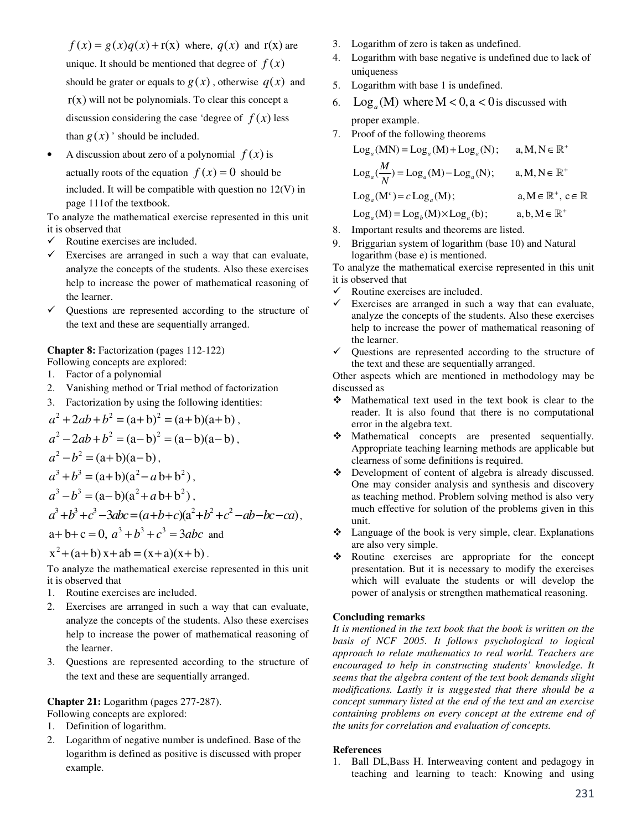$f(x) = g(x)q(x) + r(x)$  where,  $q(x)$  and  $r(x)$  are unique. It should be mentioned that degree of  $f(x)$ should be grater or equals to  $g(x)$ , otherwise  $q(x)$  and  $r(x)$  will not be polynomials. To clear this concept a discussion considering the case 'degree of  $f(x)$  less than  $g(x)$  ' should be included.

• A discussion about zero of a polynomial  $f(x)$  is actually roots of the equation  $f(x) = 0$  should be included. It will be compatible with question no  $12(V)$  in page 111of the textbook.

To analyze the mathematical exercise represented in this unit it is observed that

- $\checkmark$  Routine exercises are included.
- Exercises are arranged in such a way that can evaluate, analyze the concepts of the students. Also these exercises help to increase the power of mathematical reasoning of the learner.
- $\checkmark$  Questions are represented according to the structure of the text and these are sequentially arranged.

**Chapter 8:** Factorization (pages 112-122)

- Following concepts are explored:
- 1. Factor of a polynomial
- 2. Vanishing method or Trial method of factorization
- 3. Factorization by using the following identities:

$$
a^{2} + 2ab + b^{2} = (a+b)^{2} = (a+b)(a+b),
$$
  
\n
$$
a^{2} - 2ab + b^{2} = (a-b)^{2} = (a-b)(a-b),
$$
  
\n
$$
a^{2} - b^{2} = (a+b)(a-b),
$$
  
\n
$$
a^{3} + b^{3} = (a+b)(a^{2} - a b + b^{2}),
$$
  
\n
$$
a^{3} - b^{3} = (a-b)(a^{2} + a b + b^{2}),
$$
  
\n
$$
a^{3} + b^{3} + c^{3} - 3abc = (a+b+c)(a^{2} + b^{2} + c^{2} - ab - bc - ca),
$$
  
\n
$$
a+b+c = 0, a^{3} + b^{3} + c^{3} = 3abc \text{ and}
$$
  
\n
$$
x^{2} + (a+b)x + ab = (x+a)(x+b).
$$

To analyze the mathematical exercise represented in this unit it is observed that

- 1. Routine exercises are included.
- 2. Exercises are arranged in such a way that can evaluate, analyze the concepts of the students. Also these exercises help to increase the power of mathematical reasoning of the learner.
- 3. Questions are represented according to the structure of the text and these are sequentially arranged.

#### **Chapter 21:** Logarithm (pages 277-287).

Following concepts are explored:

- 1. Definition of logarithm.
- 2. Logarithm of negative number is undefined. Base of the logarithm is defined as positive is discussed with proper example.
- 3. Logarithm of zero is taken as undefined.
- 4. Logarithm with base negative is undefined due to lack of uniqueness
- 5. Logarithm with base 1 is undefined.
- 6. Log<sub>a</sub>(M) where  $M < 0$ , a  $< 0$  is discussed with proper example.

7. Proof of the following theorems

$$
Log_a(MN) = Log_a(M) + Log_a(N); \quad a, M, N \in \mathbb{R}^+
$$
  
\n
$$
Log_a(\frac{M}{N}) = Log_a(M) - Log_a(N); \quad a, M, N \in \mathbb{R}^+
$$
  
\n
$$
Log_a(M^c) = c Log_a(M); \quad a, M \in \mathbb{R}^+, c \in \mathbb{R}
$$
  
\n
$$
Log_a(M) = Log_b(M) \times Log_a(b); \quad a, b, M \in \mathbb{R}^+
$$

- 8. Important results and theorems are listed.
- 9. Briggarian system of logarithm (base 10) and Natural logarithm (base e) is mentioned.

To analyze the mathematical exercise represented in this unit it is observed that

- $\checkmark$  Routine exercises are included.
- $\checkmark$  Exercises are arranged in such a way that can evaluate, analyze the concepts of the students. Also these exercises help to increase the power of mathematical reasoning of the learner.
- Questions are represented according to the structure of the text and these are sequentially arranged.

Other aspects which are mentioned in methodology may be discussed as

- Mathematical text used in the text book is clear to the reader. It is also found that there is no computational error in the algebra text.
- Mathematical concepts are presented sequentially. Appropriate teaching learning methods are applicable but clearness of some definitions is required.
- Development of content of algebra is already discussed. One may consider analysis and synthesis and discovery as teaching method. Problem solving method is also very much effective for solution of the problems given in this unit.
- Language of the book is very simple, clear. Explanations are also very simple.
- Routine exercises are appropriate for the concept presentation. But it is necessary to modify the exercises which will evaluate the students or will develop the power of analysis or strengthen mathematical reasoning.

## **Concluding remarks**

*It is mentioned in the text book that the book is written on the basis of NCF 2005. It follows psychological to logical approach to relate mathematics to real world. Teachers are encouraged to help in constructing students' knowledge. It seems that the algebra content of the text book demands slight modifications. Lastly it is suggested that there should be a concept summary listed at the end of the text and an exercise containing problems on every concept at the extreme end of the units for correlation and evaluation of concepts.* 

#### **References**

1. Ball DL,Bass H. Interweaving content and pedagogy in teaching and learning to teach: Knowing and using